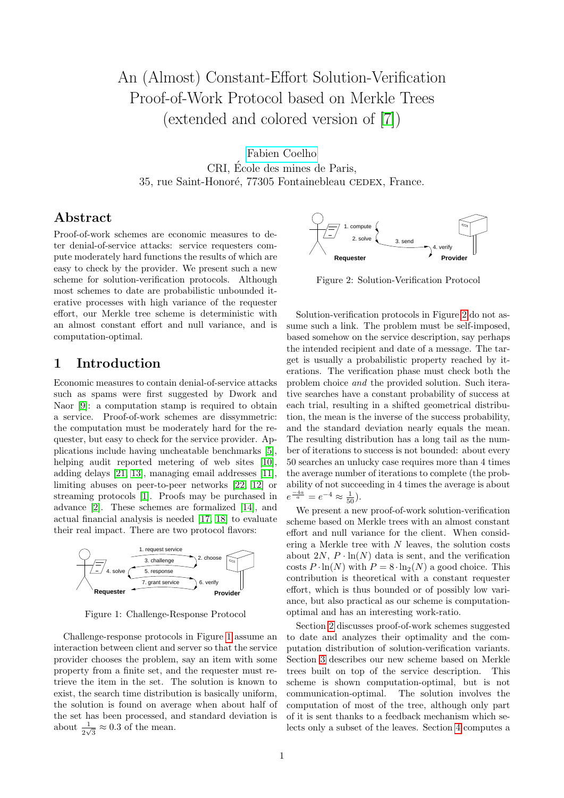# An (Almost) Constant-Effort Solution-Verification Proof-of-Work Protocol based on Merkle Trees (extended and colored version of [\[7\]](#page-7-0))

[Fabien Coelho](mailto:fabien@coelho.net) CRI, Ecole des mines de Paris, ´ 35, rue Saint-Honoré, 77305 Fontainebleau CEDEX, France.

## Abstract

Proof-of-work schemes are economic measures to deter denial-of-service attacks: service requesters compute moderately hard functions the results of which are easy to check by the provider. We present such a new scheme for solution-verification protocols. Although most schemes to date are probabilistic unbounded iterative processes with high variance of the requester effort, our Merkle tree scheme is deterministic with an almost constant effort and null variance, and is computation-optimal.

# 1 Introduction

Economic measures to contain denial-of-service attacks such as spams were first suggested by Dwork and Naor [\[9\]](#page-7-1): a computation stamp is required to obtain a service. Proof-of-work schemes are dissymmetric: the computation must be moderately hard for the requester, but easy to check for the service provider. Applications include having uncheatable benchmarks [\[5\]](#page-7-2), helping audit reported metering of web sites [\[10\]](#page-7-3), adding delays [\[21,](#page-7-4) [13\]](#page-7-5), managing email addresses [\[11\]](#page-7-6), limiting abuses on peer-to-peer networks [\[22,](#page-7-7) [12\]](#page-7-8) or streaming protocols [\[1\]](#page-7-9). Proofs may be purchased in advance [\[2\]](#page-7-10). These schemes are formalized [\[14\]](#page-7-11), and actual financial analysis is needed [\[17,](#page-7-12) [18\]](#page-7-13) to evaluate their real impact. There are two protocol flavors:



<span id="page-0-0"></span>Figure 1: Challenge-Response Protocol

Challenge-response protocols in Figure [1](#page-0-0) assume an interaction between client and server so that the service provider chooses the problem, say an item with some property from a finite set, and the requester must retrieve the item in the set. The solution is known to exist, the search time distribution is basically uniform, the solution is found on average when about half of the set has been processed, and standard deviation is about  $\frac{1}{2\sqrt{3}} \approx 0.3$  of the mean.



<span id="page-0-1"></span>Figure 2: Solution-Verification Protocol

Solution-verification protocols in Figure [2](#page-0-1) do not assume such a link. The problem must be self-imposed, based somehow on the service description, say perhaps the intended recipient and date of a message. The target is usually a probabilistic property reached by iterations. The verification phase must check both the problem choice and the provided solution. Such iterative searches have a constant probability of success at each trial, resulting in a shifted geometrical distribution, the mean is the inverse of the success probability, and the standard deviation nearly equals the mean. The resulting distribution has a long tail as the number of iterations to success is not bounded: about every 50 searches an unlucky case requires more than 4 times the average number of iterations to complete (the probability of not succeeding in 4 times the average is about  $e^{\frac{-4a}{a}} = e^{-4} \approx \frac{1}{50}$ .

We present a new proof-of-work solution-verification scheme based on Merkle trees with an almost constant effort and null variance for the client. When considering a Merkle tree with  $N$  leaves, the solution costs about 2N,  $P \cdot \ln(N)$  data is sent, and the verification costs  $P \cdot \ln(N)$  with  $P = 8 \cdot \ln_2(N)$  a good choice. This contribution is theoretical with a constant requester effort, which is thus bounded or of possibly low variance, but also practical as our scheme is computationoptimal and has an interesting work-ratio.

Section [2](#page-1-0) discusses proof-of-work schemes suggested to date and analyzes their optimality and the computation distribution of solution-verification variants. Section [3](#page-1-1) describes our new scheme based on Merkle trees built on top of the service description. This scheme is shown computation-optimal, but is not communication-optimal. The solution involves the computation of most of the tree, although only part of it is sent thanks to a feedback mechanism which selects only a subset of the leaves. Section [4](#page-4-0) computes a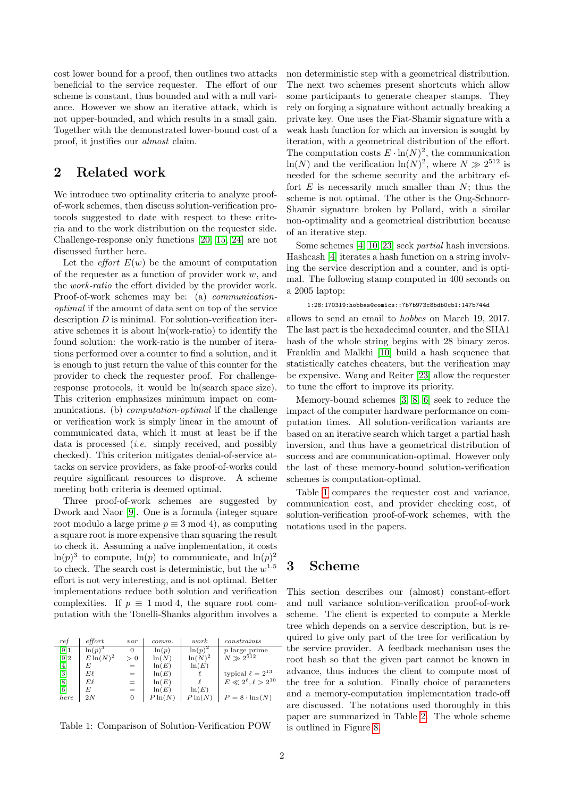cost lower bound for a proof, then outlines two attacks beneficial to the service requester. The effort of our scheme is constant, thus bounded and with a null variance. However we show an iterative attack, which is not upper-bounded, and which results in a small gain. Together with the demonstrated lower-bound cost of a proof, it justifies our almost claim.

# <span id="page-1-0"></span>2 Related work

We introduce two optimality criteria to analyze proofof-work schemes, then discuss solution-verification protocols suggested to date with respect to these criteria and to the work distribution on the requester side. Challenge-response only functions [\[20,](#page-7-14) [15,](#page-7-15) [24\]](#page-7-16) are not discussed further here.

Let the *effort*  $E(w)$  be the amount of computation of the requester as a function of provider work w, and the work-ratio the effort divided by the provider work. Proof-of-work schemes may be: (a) communicationoptimal if the amount of data sent on top of the service description  $D$  is minimal. For solution-verification iterative schemes it is about ln(work-ratio) to identify the found solution: the work-ratio is the number of iterations performed over a counter to find a solution, and it is enough to just return the value of this counter for the provider to check the requester proof. For challengeresponse protocols, it would be ln(search space size). This criterion emphasizes minimum impact on communications. (b) computation-optimal if the challenge or verification work is simply linear in the amount of communicated data, which it must at least be if the data is processed (*i.e.* simply received, and possibly checked). This criterion mitigates denial-of-service attacks on service providers, as fake proof-of-works could require significant resources to disprove. A scheme meeting both criteria is deemed optimal.

Three proof-of-work schemes are suggested by Dwork and Naor [\[9\]](#page-7-1). One is a formula (integer square root modulo a large prime  $p \equiv 3 \mod 4$ , as computing a square root is more expensive than squaring the result to check it. Assuming a naïve implementation, it costs  $\ln(p)^3$  to compute,  $\ln(p)$  to communicate, and  $\ln(p)^2$ to check. The search cost is deterministic, but the  $w^{1.5}$ effort is not very interesting, and is not optimal. Better implementations reduce both solution and verification complexities. If  $p \equiv 1 \mod 4$ , the square root computation with the Tonelli-Shanks algorithm involves a

| ref  | effort       | var | comm.     | work       | constants                       |
|------|--------------|-----|-----------|------------|---------------------------------|
| [9]1 | $\ln(p)^3$   | 0   | ln(p)     | $\ln(p)^2$ | $p$ large prime                 |
| [9]2 | $E \ln(N)^2$ | > 0 | ln(N)     | $\ln(N)^2$ | $N \gg 2^{512}$                 |
| [4]  | Е            | $=$ | ln(E)     | ln(E)      |                                 |
| [3]  | Eℓ           |     | ln(E)     | $\ell$     | typical $\ell = 2^{13}$         |
| [8]  | Εl           | $=$ | ln(E)     |            | $E \ll 2^{\ell}, \ell > 2^{10}$ |
| [6]  | E            | $=$ | ln(E)     | ln(E)      |                                 |
| here | 2N           | 0   | $P\ln(N)$ | $P\ln(N)$  | $P = 8 \cdot \ln_2(N)$          |
|      |              |     |           |            |                                 |

<span id="page-1-2"></span>Table 1: Comparison of Solution-Verification POW

non deterministic step with a geometrical distribution. The next two schemes present shortcuts which allow some participants to generate cheaper stamps. They rely on forging a signature without actually breaking a private key. One uses the Fiat-Shamir signature with a weak hash function for which an inversion is sought by iteration, with a geometrical distribution of the effort. The computation costs  $E \cdot \ln(N)^2$ , the communication  $\ln(N)$  and the verification  $\ln(N)^2$ , where  $N \gg 2^{512}$  is needed for the scheme security and the arbitrary effort  $E$  is necessarily much smaller than  $N$ ; thus the scheme is not optimal. The other is the Ong-Schnorr-Shamir signature broken by Pollard, with a similar non-optimality and a geometrical distribution because of an iterative step.

Some schemes [\[4,](#page-7-17) [10,](#page-7-3) [23\]](#page-7-21) seek partial hash inversions. Hashcash [\[4\]](#page-7-17) iterates a hash function on a string involving the service description and a counter, and is optimal. The following stamp computed in 400 seconds on a 2005 laptop:

#### 1:28:170319:hobbes@comics::7b7b973c8bdb0cb1:147b744d

allows to send an email to hobbes on March 19, 2017. The last part is the hexadecimal counter, and the SHA1 hash of the whole string begins with 28 binary zeros. Franklin and Malkhi [\[10\]](#page-7-3) build a hash sequence that statistically catches cheaters, but the verification may be expensive. Wang and Reiter [\[23\]](#page-7-21) allow the requester to tune the effort to improve its priority.

Memory-bound schemes [\[3,](#page-7-18) [8,](#page-7-19) [6\]](#page-7-20) seek to reduce the impact of the computer hardware performance on computation times. All solution-verification variants are based on an iterative search which target a partial hash inversion, and thus have a geometrical distribution of success and are communication-optimal. However only the last of these memory-bound solution-verification schemes is computation-optimal.

Table [1](#page-1-2) compares the requester cost and variance, communication cost, and provider checking cost, of solution-verification proof-of-work schemes, with the notations used in the papers.

# <span id="page-1-1"></span>3 Scheme

This section describes our (almost) constant-effort and null variance solution-verification proof-of-work scheme. The client is expected to compute a Merkle tree which depends on a service description, but is required to give only part of the tree for verification by the service provider. A feedback mechanism uses the root hash so that the given part cannot be known in advance, thus induces the client to compute most of the tree for a solution. Finally choice of parameters and a memory-computation implementation trade-off are discussed. The notations used thoroughly in this paper are summarized in Table [2.](#page-2-0) The whole scheme is outlined in Figure [8.](#page-3-0)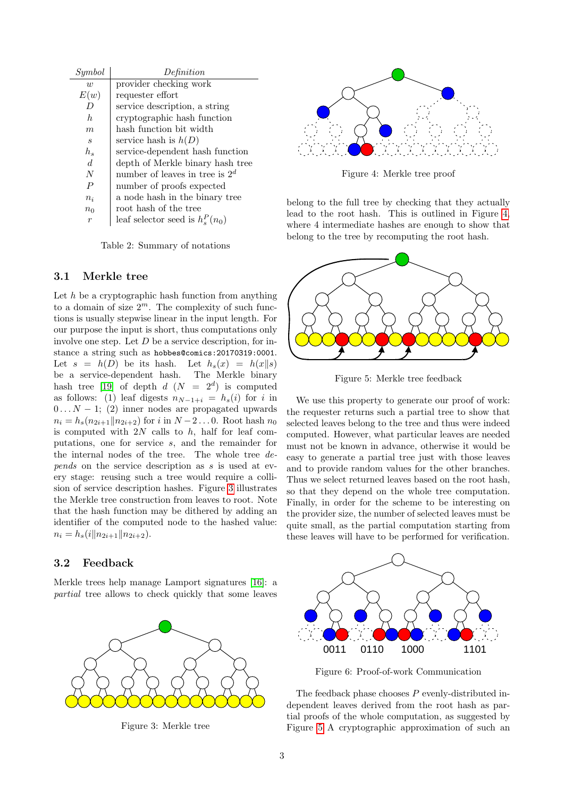| Symbol           | Definition                                    |
|------------------|-----------------------------------------------|
| w                | provider checking work                        |
| E(w)             | requester effort                              |
| $\left( \right)$ | service description, a string                 |
| $\hbar$          | cryptographic hash function                   |
| m                | hash function bit width                       |
| S                | service hash is $h(D)$                        |
| $h_s$            | service-dependent hash function               |
| d                | depth of Merkle binary hash tree              |
| N                | number of leaves in tree is $2^d$             |
| P                | number of proofs expected                     |
| $n_i$            | a node hash in the binary tree                |
| $n_0$            | root hash of the tree                         |
| r                | leaf selector seed is $h_{\epsilon}^{P}(n_0)$ |

<span id="page-2-0"></span>Table 2: Summary of notations

#### 3.1 Merkle tree

Let  $h$  be a cryptographic hash function from anything to a domain of size  $2^m$ . The complexity of such functions is usually stepwise linear in the input length. For our purpose the input is short, thus computations only involve one step. Let  $D$  be a service description, for instance a string such as hobbes@comics:20170319:0001. Let  $s = h(D)$  be its hash. Let  $h_s(x) = h(x||s)$ be a service-dependent hash. The Merkle binary hash tree [\[19\]](#page-7-22) of depth  $d(N = 2^d)$  is computed as follows: (1) leaf digests  $n_{N-1+i} = h_s(i)$  for i in  $0 \ldots N - 1$ ; (2) inner nodes are propagated upwards  $n_i = h_s(n_{2i+1}||n_{2i+2})$  for i in  $N-2...$  0. Root hash  $n_0$ is computed with  $2N$  calls to  $h$ , half for leaf computations, one for service s, and the remainder for the internal nodes of the tree. The whole tree depends on the service description as s is used at every stage: reusing such a tree would require a collision of service description hashes. Figure [3](#page-2-1) illustrates the Merkle tree construction from leaves to root. Note that the hash function may be dithered by adding an identifier of the computed node to the hashed value:  $n_i = h_s(i||n_{2i+1}||n_{2i+2}).$ 

#### 3.2 Feedback

Merkle trees help manage Lamport signatures [\[16\]](#page-7-23): a partial tree allows to check quickly that some leaves



<span id="page-2-1"></span>Figure 3: Merkle tree



Figure 4: Merkle tree proof

<span id="page-2-2"></span>belong to the full tree by checking that they actually lead to the root hash. This is outlined in Figure [4,](#page-2-2) where 4 intermediate hashes are enough to show that belong to the tree by recomputing the root hash.



<span id="page-2-3"></span>Figure 5: Merkle tree feedback

We use this property to generate our proof of work: the requester returns such a partial tree to show that selected leaves belong to the tree and thus were indeed computed. However, what particular leaves are needed must not be known in advance, otherwise it would be easy to generate a partial tree just with those leaves and to provide random values for the other branches. Thus we select returned leaves based on the root hash, so that they depend on the whole tree computation. Finally, in order for the scheme to be interesting on the provider size, the number of selected leaves must be quite small, as the partial computation starting from these leaves will have to be performed for verification.



<span id="page-2-4"></span>Figure 6: Proof-of-work Communication

The feedback phase chooses P evenly-distributed independent leaves derived from the root hash as partial proofs of the whole computation, as suggested by Figure [5](#page-2-3) A cryptographic approximation of such an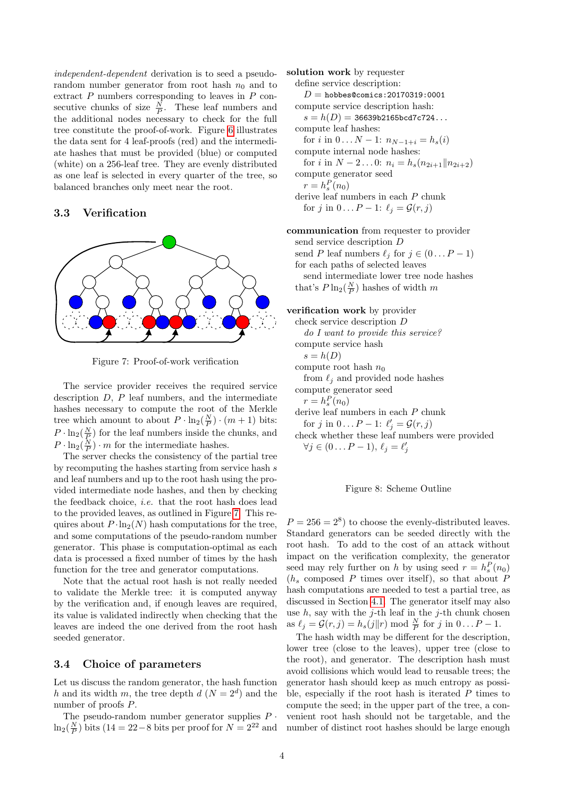independent-dependent derivation is to seed a pseudorandom number generator from root hash  $n_0$  and to extract  $P$  numbers corresponding to leaves in  $P$  consecutive chunks of size  $\frac{N}{P}$ . These leaf numbers and the additional nodes necessary to check for the full tree constitute the proof-of-work. Figure [6](#page-2-4) illustrates the data sent for 4 leaf-proofs (red) and the intermediate hashes that must be provided (blue) or computed (white) on a 256-leaf tree. They are evenly distributed as one leaf is selected in every quarter of the tree, so balanced branches only meet near the root.

### 3.3 Verification



<span id="page-3-1"></span>Figure 7: Proof-of-work verification

The service provider receives the required service description  $D$ ,  $P$  leaf numbers, and the intermediate hashes necessary to compute the root of the Merkle tree which amount to about  $P \cdot \ln_2(\frac{N}{P}) \cdot (m+1)$  bits:  $P \cdot \ln_2(\frac{N}{P})$  for the leaf numbers inside the chunks, and  $P \cdot \ln_2(\frac{N}{P}) \cdot m$  for the intermediate hashes.

The server checks the consistency of the partial tree by recomputing the hashes starting from service hash s and leaf numbers and up to the root hash using the provided intermediate node hashes, and then by checking the feedback choice, i.e. that the root hash does lead to the provided leaves, as outlined in Figure [7.](#page-3-1) This requires about  $P \cdot \ln_2(N)$  hash computations for the tree, and some computations of the pseudo-random number generator. This phase is computation-optimal as each data is processed a fixed number of times by the hash function for the tree and generator computations.

Note that the actual root hash is not really needed to validate the Merkle tree: it is computed anyway by the verification and, if enough leaves are required, its value is validated indirectly when checking that the leaves are indeed the one derived from the root hash seeded generator.

#### 3.4 Choice of parameters

Let us discuss the random generator, the hash function h and its width m, the tree depth  $d (N = 2<sup>d</sup>)$  and the number of proofs P.

The pseudo-random number generator supplies  $P \cdot$  $\ln_2(\frac{N}{P})$  bits (14 = 22 – 8 bits per proof for  $N = 2^{22}$  and

solution work by requester define service description:  $D={\tt hobs@comics:}$ 20170319:0001 compute service description hash:  $s = h(D) = 36639b2165bcd7c724...$ compute leaf hashes: for *i* in  $0 \dots N - 1$ :  $n_{N-1+i} = h_s(i)$ compute internal node hashes: for *i* in  $N - 2...0$ :  $n_i = h_s(n_{2i+1}||n_{2i+2})$ compute generator seed  $r = h_s^P(n_0)$ derive leaf numbers in each P chunk for j in  $0 \dots P - 1$ :  $\ell_i = \mathcal{G}(r, j)$ 

communication from requester to provider send service description D send P leaf numbers  $\ell_j$  for  $j \in (0 \dots P - 1)$ for each paths of selected leaves send intermediate lower tree node hashes that's  $P \ln_2(\frac{N}{P})$  hashes of width m

verification work by provider check service description D do I want to provide this service? compute service hash  $s = h(D)$ compute root hash  $n_0$ from  $\ell_i$  and provided node hashes compute generator seed  $r = h_s^P(n_0)$ derive leaf numbers in each P chunk for j in  $0 \dots P - 1$ :  $\ell'_j = \mathcal{G}(r, j)$ 

check whether these leaf numbers were provided  $\forall j \in (0 \dots P-1), \ell_j = \ell'_j$ 

<span id="page-3-0"></span>Figure 8: Scheme Outline

 $P = 256 = 2<sup>8</sup>$  to choose the evenly-distributed leaves. Standard generators can be seeded directly with the root hash. To add to the cost of an attack without impact on the verification complexity, the generator seed may rely further on h by using seed  $r = h_s^P(n_0)$  $(h_s \text{ composed } P \text{ times over itself}),$  so that about P hash computations are needed to test a partial tree, as discussed in Section [4.1.](#page-4-1) The generator itself may also use  $h$ , say with the j-th leaf in the j-th chunk chosen as  $\ell_j = \mathcal{G}(r, j) = h_s(j||r) \bmod \frac{N}{P}$  for j in  $0 \dots P - 1$ .

The hash width may be different for the description, lower tree (close to the leaves), upper tree (close to the root), and generator. The description hash must avoid collisions which would lead to reusable trees; the generator hash should keep as much entropy as possible, especially if the root hash is iterated  $P$  times to compute the seed; in the upper part of the tree, a convenient root hash should not be targetable, and the number of distinct root hashes should be large enough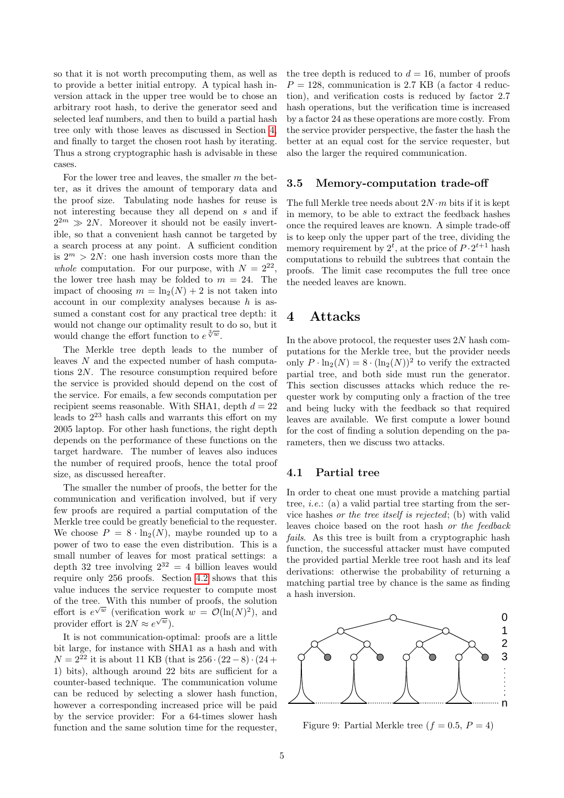so that it is not worth precomputing them, as well as to provide a better initial entropy. A typical hash inversion attack in the upper tree would be to chose an arbitrary root hash, to derive the generator seed and selected leaf numbers, and then to build a partial hash tree only with those leaves as discussed in Section [4,](#page-4-0) and finally to target the chosen root hash by iterating. Thus a strong cryptographic hash is advisable in these cases.

For the lower tree and leaves, the smaller  $m$  the better, as it drives the amount of temporary data and the proof size. Tabulating node hashes for reuse is not interesting because they all depend on s and if  $2^{2m} \gg 2N$ . Moreover it should not be easily invertible, so that a convenient hash cannot be targeted by a search process at any point. A sufficient condition is  $2^m > 2N$ : one hash inversion costs more than the whole computation. For our purpose, with  $N = 2^{22}$ , the lower tree hash may be folded to  $m = 24$ . The impact of choosing  $m = \ln_2(N) + 2$  is not taken into account in our complexity analyses because h is assumed a constant cost for any practical tree depth: it would not change our optimality result to do so, but it would change our optimality result be would change the effort function to  $e^{\sqrt[3]{w}}$ .

The Merkle tree depth leads to the number of leaves N and the expected number of hash computations 2N. The resource consumption required before the service is provided should depend on the cost of the service. For emails, a few seconds computation per recipient seems reasonable. With SHA1, depth  $d = 22$ leads to  $2^{23}$  hash calls and warrants this effort on my 2005 laptop. For other hash functions, the right depth depends on the performance of these functions on the target hardware. The number of leaves also induces the number of required proofs, hence the total proof size, as discussed hereafter.

The smaller the number of proofs, the better for the communication and verification involved, but if very few proofs are required a partial computation of the Merkle tree could be greatly beneficial to the requester. We choose  $P = 8 \cdot \ln_2(N)$ , maybe rounded up to a power of two to ease the even distribution. This is a small number of leaves for most pratical settings: a depth 32 tree involving  $2^{32} = 4$  billion leaves would require only 256 proofs. Section [4.2](#page-5-0) shows that this value induces the service requester to compute most of the tree. With this number of proofs, the solution effort is  $e^{\sqrt{w}}$  (verification work  $w = \mathcal{O}(\ln(N)^2)$ , and provider effort is  $2N \approx e^{\sqrt{w}}$ .

It is not communication-optimal: proofs are a little bit large, for instance with SHA1 as a hash and with  $N = 2^{22}$  it is about 11 KB (that is  $256 \cdot (22 - 8) \cdot (24 +$ 1) bits), although around 22 bits are sufficient for a counter-based technique. The communication volume can be reduced by selecting a slower hash function, however a corresponding increased price will be paid by the service provider: For a 64-times slower hash function and the same solution time for the requester, the tree depth is reduced to  $d = 16$ , number of proofs  $P = 128$ , communication is 2.7 KB (a factor 4 reduction), and verification costs is reduced by factor 2.7 hash operations, but the verification time is increased by a factor 24 as these operations are more costly. From the service provider perspective, the faster the hash the better at an equal cost for the service requester, but also the larger the required communication.

#### 3.5 Memory-computation trade-off

The full Merkle tree needs about  $2N \cdot m$  bits if it is kept in memory, to be able to extract the feedback hashes once the required leaves are known. A simple trade-off is to keep only the upper part of the tree, dividing the memory requirement by  $2^t$ , at the price of  $P \cdot 2^{t+1}$  hash computations to rebuild the subtrees that contain the proofs. The limit case recomputes the full tree once the needed leaves are known.

# <span id="page-4-0"></span>4 Attacks

In the above protocol, the requester uses  $2N$  hash computations for the Merkle tree, but the provider needs only  $P \cdot \ln_2(N) = 8 \cdot (\ln_2(N))^2$  to verify the extracted partial tree, and both side must run the generator. This section discusses attacks which reduce the requester work by computing only a fraction of the tree and being lucky with the feedback so that required leaves are available. We first compute a lower bound for the cost of finding a solution depending on the parameters, then we discuss two attacks.

#### <span id="page-4-1"></span>4.1 Partial tree

In order to cheat one must provide a matching partial tree, *i.e.*: (a) a valid partial tree starting from the service hashes or the tree itself is rejected; (b) with valid leaves choice based on the root hash or the feedback fails. As this tree is built from a cryptographic hash function, the successful attacker must have computed the provided partial Merkle tree root hash and its leaf derivations: otherwise the probability of returning a matching partial tree by chance is the same as finding a hash inversion.



<span id="page-4-2"></span>Figure 9: Partial Merkle tree  $(f = 0.5, P = 4)$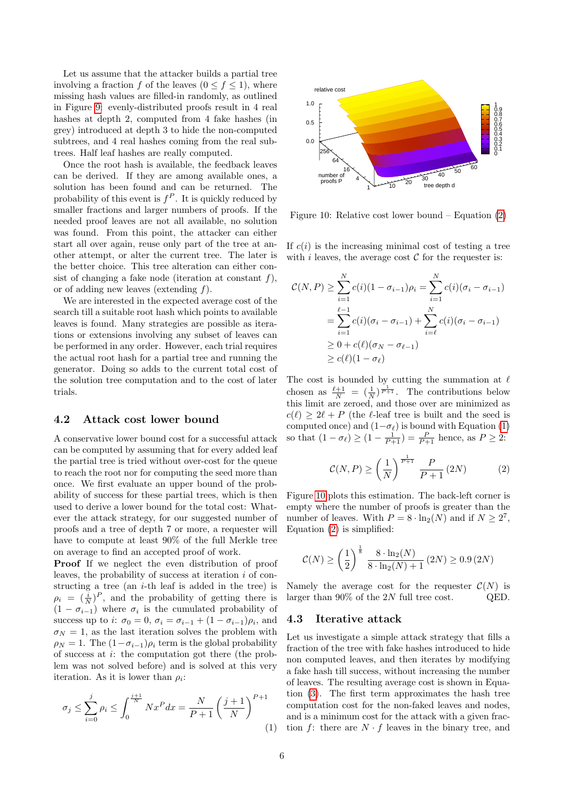Let us assume that the attacker builds a partial tree involving a fraction f of the leaves  $(0 \leq f \leq 1)$ , where missing hash values are filled-in randomly, as outlined in Figure [9:](#page-4-2) evenly-distributed proofs result in 4 real hashes at depth 2, computed from 4 fake hashes (in grey) introduced at depth 3 to hide the non-computed subtrees, and 4 real hashes coming from the real subtrees. Half leaf hashes are really computed.

Once the root hash is available, the feedback leaves can be derived. If they are among available ones, a solution has been found and can be returned. The probability of this event is  $f^P$ . It is quickly reduced by smaller fractions and larger numbers of proofs. If the needed proof leaves are not all available, no solution was found. From this point, the attacker can either start all over again, reuse only part of the tree at another attempt, or alter the current tree. The later is the better choice. This tree alteration can either consist of changing a fake node (iteration at constant  $f$ ), or of adding new leaves (extending  $f$ ).

We are interested in the expected average cost of the search till a suitable root hash which points to available leaves is found. Many strategies are possible as iterations or extensions involving any subset of leaves can be performed in any order. However, each trial requires the actual root hash for a partial tree and running the generator. Doing so adds to the current total cost of the solution tree computation and to the cost of later trials.

#### <span id="page-5-0"></span>4.2 Attack cost lower bound

A conservative lower bound cost for a successful attack can be computed by assuming that for every added leaf the partial tree is tried without over-cost for the queue to reach the root nor for computing the seed more than once. We first evaluate an upper bound of the probability of success for these partial trees, which is then used to derive a lower bound for the total cost: Whatever the attack strategy, for our suggested number of proofs and a tree of depth 7 or more, a requester will have to compute at least 90% of the full Merkle tree on average to find an accepted proof of work.

Proof If we neglect the even distribution of proof leaves, the probability of success at iteration  $i$  of constructing a tree (an  $i$ -th leaf is added in the tree) is  $\rho_i = \left(\frac{i}{N}\right)^P$ , and the probability of getting there is  $(1 - \sigma_{i-1})$  where  $\sigma_i$  is the cumulated probability of success up to *i*:  $\sigma_0 = 0$ ,  $\sigma_i = \sigma_{i-1} + (1 - \sigma_{i-1})\rho_i$ , and  $\sigma_N = 1$ , as the last iteration solves the problem with  $\rho_N = 1$ . The  $(1 - \sigma_{i-1})\rho_i$  term is the global probability of success at i: the computation got there (the problem was not solved before) and is solved at this very iteration. As it is lower than  $\rho_i$ :

<span id="page-5-2"></span>
$$
\sigma_j \le \sum_{i=0}^j \rho_i \le \int_0^{\frac{j+1}{N}} N x^P dx = \frac{N}{P+1} \left(\frac{j+1}{N}\right)^{P+1}
$$
\n(1)



<span id="page-5-3"></span>Figure 10: Relative cost lower bound – Equation [\(2\)](#page-5-1)

If  $c(i)$  is the increasing minimal cost of testing a tree with i leaves, the average cost  $\mathcal C$  for the requester is:

$$
\mathcal{C}(N, P) \ge \sum_{i=1}^{N} c(i)(1 - \sigma_{i-1})\rho_i = \sum_{i=1}^{N} c(i)(\sigma_i - \sigma_{i-1})
$$
  
= 
$$
\sum_{i=1}^{\ell-1} c(i)(\sigma_i - \sigma_{i-1}) + \sum_{i=\ell}^{N} c(i)(\sigma_i - \sigma_{i-1})
$$
  

$$
\ge 0 + c(\ell)(\sigma_N - \sigma_{\ell-1})
$$
  

$$
\ge c(\ell)(1 - \sigma_{\ell})
$$

The cost is bounded by cutting the summation at  $\ell$ chosen as  $\frac{\ell+1}{N} = \left(\frac{1}{N}\right)^{\frac{1}{P+1}}$ . The contributions below this limit are zeroed, and those over are minimized as  $c(\ell) \geq 2\ell + P$  (the  $\ell$ -leaf tree is built and the seed is computed once) and  $(1-\sigma_{\ell})$  is bound with Equation [\(1\)](#page-5-2) so that  $(1 - \sigma_{\ell}) \ge (1 - \frac{1}{P+1}) = \frac{P}{P+1}$  hence, as  $P \ge 2$ :

<span id="page-5-1"></span>
$$
\mathcal{C}(N, P) \ge \left(\frac{1}{N}\right)^{\frac{1}{P+1}} \frac{P}{P+1} \left(2N\right) \tag{2}
$$

Figure [10](#page-5-3) plots this estimation. The back-left corner is empty where the number of proofs is greater than the number of leaves. With  $P = 8 \cdot \ln_2(N)$  and if  $N \ge 2^7$ , Equation  $(2)$  is simplified:

$$
\mathcal{C}(N) \ge \left(\frac{1}{2}\right)^{\frac{1}{8}} \frac{8 \cdot \ln_2(N)}{8 \cdot \ln_2(N) + 1} (2N) \ge 0.9 (2N)
$$

Namely the average cost for the requester  $C(N)$  is larger than  $90\%$  of the 2N full tree cost. QED.

#### 4.3 Iterative attack

Let us investigate a simple attack strategy that fills a fraction of the tree with fake hashes introduced to hide non computed leaves, and then iterates by modifying a fake hash till success, without increasing the number of leaves. The resulting average cost is shown in Equation [\(3\)](#page-6-0). The first term approximates the hash tree computation cost for the non-faked leaves and nodes, and is a minimum cost for the attack with a given fraction  $f$ : there are  $N \cdot f$  leaves in the binary tree, and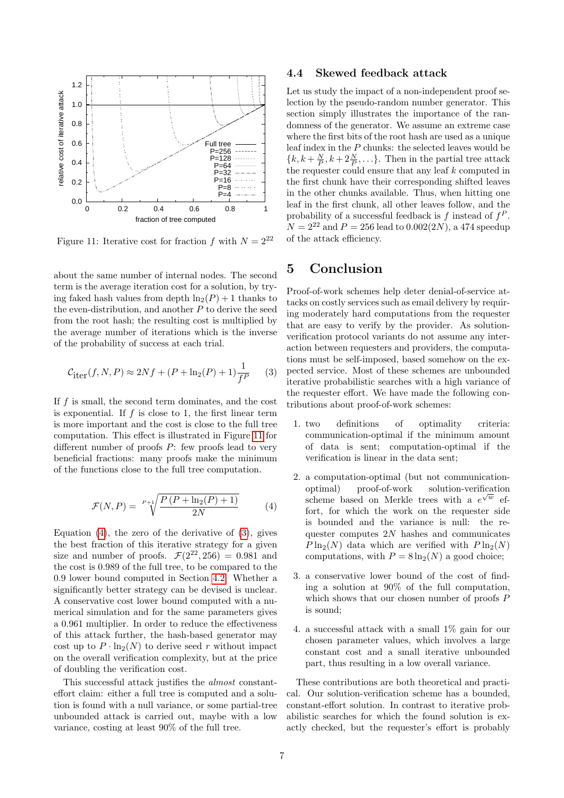

<span id="page-6-1"></span>Figure 11: Iterative cost for fraction  $f$  with  $N = 2^{22}$ 

about the same number of internal nodes. The second term is the average iteration cost for a solution, by trying faked hash values from depth  $\ln_2(P) + 1$  thanks to the even-distribution, and another  $P$  to derive the seed from the root hash; the resulting cost is multiplied by the average number of iterations which is the inverse of the probability of success at each trial.

<span id="page-6-0"></span>
$$
\mathcal{C}_{\text{iter}}(f, N, P) \approx 2Nf + (P + \ln_2(P) + 1)\frac{1}{f^P} \tag{3}
$$

If f is small, the second term dominates, and the cost is exponential. If  $f$  is close to 1, the first linear term is more important and the cost is close to the full tree computation. This effect is illustrated in Figure [11](#page-6-1) for different number of proofs P: few proofs lead to very beneficial fractions: many proofs make the minimum of the functions close to the full tree computation.

<span id="page-6-2"></span>
$$
\mathcal{F}(N, P) = \sqrt[P+1]{\frac{P(P + \ln_2(P) + 1)}{2N}} \tag{4}
$$

Equation  $(4)$ , the zero of the derivative of  $(3)$ , gives the best fraction of this iterative strategy for a given size and number of proofs.  $\mathcal{F}(2^{22}, 256) = 0.981$  and the cost is 0.989 of the full tree, to be compared to the 0.9 lower bound computed in Section [4.2.](#page-5-0) Whether a significantly better strategy can be devised is unclear. A conservative cost lower bound computed with a numerical simulation and for the same parameters gives a 0.961 multiplier. In order to reduce the effectiveness of this attack further, the hash-based generator may cost up to  $P \cdot \ln_2(N)$  to derive seed r without impact on the overall verification complexity, but at the price of doubling the verification cost.

This successful attack justifies the almost constanteffort claim: either a full tree is computed and a solution is found with a null variance, or some partial-tree unbounded attack is carried out, maybe with a low variance, costing at least 90% of the full tree.

### 4.4 Skewed feedback attack

Let us study the impact of a non-independent proof selection by the pseudo-random number generator. This section simply illustrates the importance of the randomness of the generator. We assume an extreme case where the first bits of the root hash are used as a unique leaf index in the  $P$  chunks: the selected leaves would be  $\{k, k+\frac{N}{P}, k+2\frac{N}{P}, \ldots\}$ . Then in the partial tree attack the requester could ensure that any leaf k computed in the first chunk have their corresponding shifted leaves in the other chunks available. Thus, when hitting one leaf in the first chunk, all other leaves follow, and the probability of a successful feedback is f instead of  $f^P$ .  $N = 2^{22}$  and  $P = 256$  lead to  $0.002(2N)$ , a 474 speedup of the attack efficiency.

# 5 Conclusion

Proof-of-work schemes help deter denial-of-service attacks on costly services such as email delivery by requiring moderately hard computations from the requester that are easy to verify by the provider. As solutionverification protocol variants do not assume any interaction between requesters and providers, the computations must be self-imposed, based somehow on the expected service. Most of these schemes are unbounded iterative probabilistic searches with a high variance of the requester effort. We have made the following contributions about proof-of-work schemes:

- 1. two definitions of optimality criteria: communication-optimal if the minimum amount of data is sent; computation-optimal if the verification is linear in the data sent;
- 2. a computation-optimal (but not communicationoptimal) proof-of-work solution-verification scheme based on Merkle trees with a  $e^{\sqrt{w}}$  effort, for which the work on the requester side is bounded and the variance is null: the requester computes  $2N$  hashes and communicates  $P \ln_2(N)$  data which are verified with  $P \ln_2(N)$ computations, with  $P = 8 \ln_2(N)$  a good choice;
- 3. a conservative lower bound of the cost of finding a solution at 90% of the full computation, which shows that our chosen number of proofs P is sound;
- 4. a successful attack with a small 1% gain for our chosen parameter values, which involves a large constant cost and a small iterative unbounded part, thus resulting in a low overall variance.

These contributions are both theoretical and practical. Our solution-verification scheme has a bounded, constant-effort solution. In contrast to iterative probabilistic searches for which the found solution is exactly checked, but the requester's effort is probably